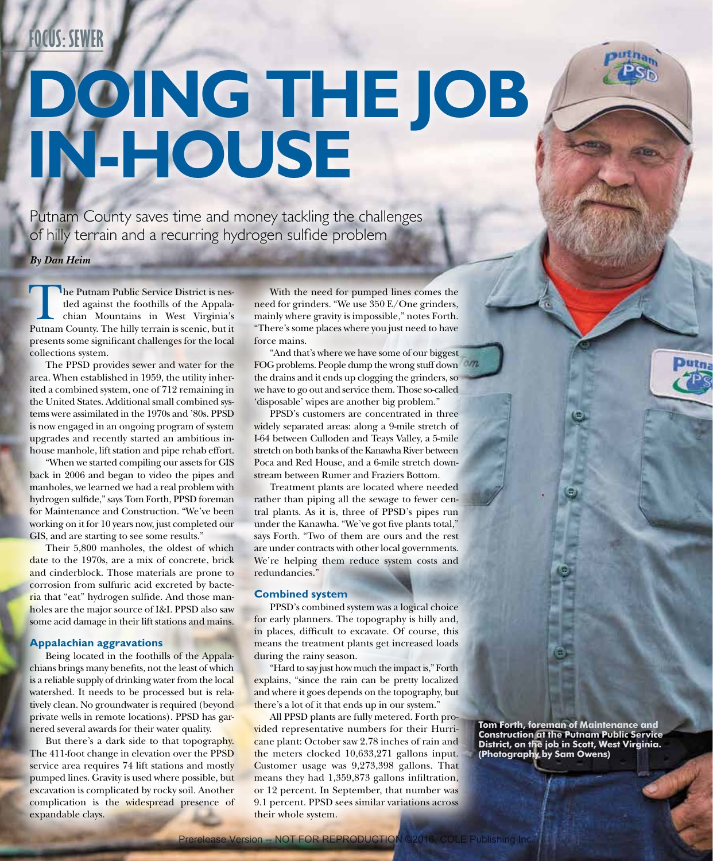## **FOCUS: SEWER**

# **DOING THE JOB IN-HOUSE**

Putnam County saves time and money tackling the challenges of hilly terrain and a recurring hydrogen sulfide problem

*By Dan Heim*

The Putnam Public Service District is nestled against the foothills of the Appalachian Mountains in West Virginia's Putnam County. The hilly terrain is scenic, but it presents some significant challenges for the local collections system.

The PPSD provides sewer and water for the area. When established in 1959, the utility inherited a combined system, one of 712 remaining in the United States. Additional small combined systems were assimilated in the 1970s and '80s. PPSD is now engaged in an ongoing program of system upgrades and recently started an ambitious inhouse manhole, lift station and pipe rehab effort.

"When we started compiling our assets for GIS back in 2006 and began to video the pipes and manholes, we learned we had a real problem with hydrogen sulfide," says Tom Forth, PPSD foreman for Maintenance and Construction. "We've been working on it for 10 years now, just completed our GIS, and are starting to see some results."

Their 5,800 manholes, the oldest of which date to the 1970s, are a mix of concrete, brick and cinderblock. Those materials are prone to corrosion from sulfuric acid excreted by bacteria that "eat" hydrogen sulfide. And those manholes are the major source of I&I. PPSD also saw some acid damage in their lift stations and mains.

#### **Appalachian aggravations**

Being located in the foothills of the Appalachians brings many benefits, not the least of which is a reliable supply of drinking water from the local watershed. It needs to be processed but is relatively clean. No groundwater is required (beyond private wells in remote locations). PPSD has garnered several awards for their water quality.

But there's a dark side to that topography. The 411-foot change in elevation over the PPSD service area requires 74 lift stations and mostly pumped lines. Gravity is used where possible, but excavation is complicated by rocky soil. Another complication is the widespread presence of expandable clays.

With the need for pumped lines comes the need for grinders. "We use 350 E/One grinders, mainly where gravity is impossible," notes Forth. "There's some places where you just need to have force mains.

"And that's where we have some of our biggest FOG problems. People dump the wrong stuff down the drains and it ends up clogging the grinders, so we have to go out and service them. Those so-called 'disposable' wipes are another big problem."

PPSD's customers are concentrated in three widely separated areas: along a 9-mile stretch of I-64 between Culloden and Teays Valley, a 5-mile stretch on both banks of the Kanawha River between Poca and Red House, and a 6-mile stretch downstream between Rumer and Fraziers Bottom.

Treatment plants are located where needed rather than piping all the sewage to fewer central plants. As it is, three of PPSD's pipes run under the Kanawha. "We've got five plants total," says Forth. "Two of them are ours and the rest are under contracts with other local governments. We're helping them reduce system costs and redundancies."

#### **Combined system**

PPSD's combined system was a logical choice for early planners. The topography is hilly and, in places, difficult to excavate. Of course, this means the treatment plants get increased loads during the rainy season.

"Hard to say just how much the impact is," Forth explains, "since the rain can be pretty localized and where it goes depends on the topography, but there's a lot of it that ends up in our system."

All PPSD plants are fully metered. Forth provided representative numbers for their Hurricane plant: October saw 2.78 inches of rain and the meters clocked 10,633,271 gallons input. Customer usage was 9,273,398 gallons. That means they had 1,359,873 gallons infiltration, or 12 percent. In September, that number was 9.1 percent. PPSD sees similar variations across their whole system.

**Tom Forth, foreman of Maintenance and Construction at the Putnam Public Service District, on the job in Scott, West Virginia. (Photography by Sam Owens)**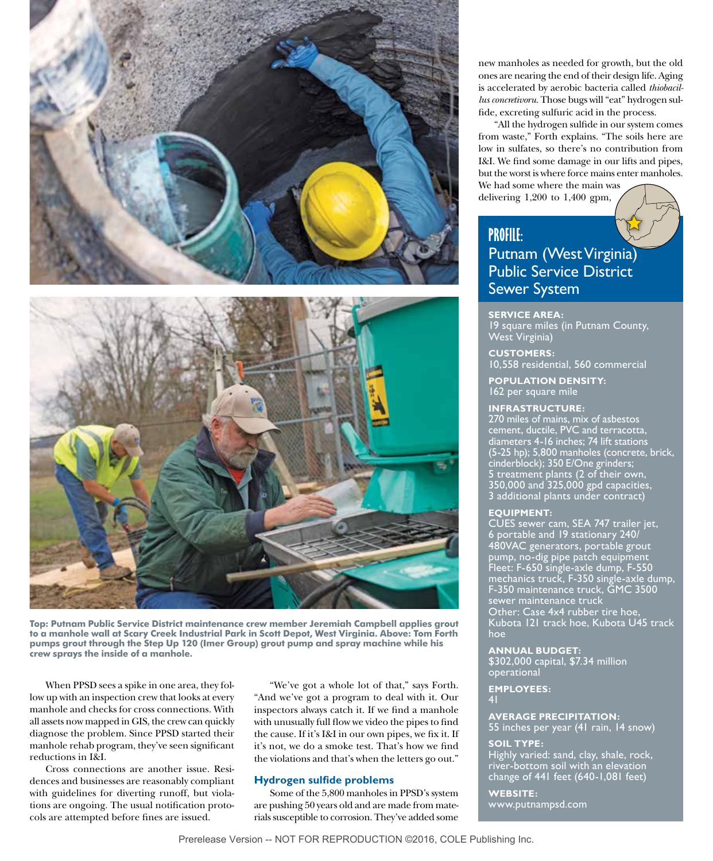



**Top: Putnam Public Service District maintenance crew member Jeremiah Campbell applies grout to a manhole wall at Scary Creek Industrial Park in Scott Depot, West Virginia. Above: Tom Forth pumps grout through the Step Up 120 (Imer Group) grout pump and spray machine while his crew sprays the inside of a manhole.**

When PPSD sees a spike in one area, they follow up with an inspection crew that looks at every manhole and checks for cross connections. With all assets now mapped in GIS, the crew can quickly diagnose the problem. Since PPSD started their manhole rehab program, they've seen significant reductions in I&I.

Cross connections are another issue. Residences and businesses are reasonably compliant with guidelines for diverting runoff, but violations are ongoing. The usual notification protocols are attempted before fines are issued.

"We've got a whole lot of that," says Forth. "And we've got a program to deal with it. Our inspectors always catch it. If we find a manhole with unusually full flow we video the pipes to find the cause. If it's I&I in our own pipes, we fix it. If it's not, we do a smoke test. That's how we find the violations and that's when the letters go out."

#### **Hydrogen sulfide problems**

Some of the 5,800 manholes in PPSD's system are pushing 50 years old and are made from materials susceptible to corrosion. They've added some

new manholes as needed for growth, but the old ones are nearing the end of their design life. Aging is accelerated by aerobic bacteria called *thiobacillus concretivoru.* Those bugs will "eat" hydrogen sulfide, excreting sulfuric acid in the process.

"All the hydrogen sulfide in our system comes from waste," Forth explains. "The soils here are low in sulfates, so there's no contribution from I&I. We find some damage in our lifts and pipes, but the worst is where force mains enter manholes. We had some where the main was

delivering 1,200 to 1,400 gpm,

# **PROFILE:**

### Putnam (West Virginia) Public Service District Sewer System

**SERVICE AREA:** 19 square miles (in Putnam County, West Virginia)

**CUSTOMERS:** 10,558 residential, 560 commercial

**POPULATION DENSITY:**  162 per square mile

#### **INFRASTRUCTURE:**

270 miles of mains, mix of asbestos cement, ductile, PVC and terracotta, diameters 4-16 inches; 74 lift stations (5-25 hp); 5,800 manholes (concrete, brick, cinderblock); 350 E/One grinders; 5 treatment plants (2 of their own, 350,000 and 325,000 gpd capacities, 3 additional plants under contract)

#### **EQUIPMENT:**

CUES sewer cam, SEA 747 trailer jet, 6 portable and 19 stationary 240/ 480VAC generators, portable grout pump, no-dig pipe patch equipment Fleet: F-650 single-axle dump, F-550 mechanics truck, F-350 single-axle dump, F-350 maintenance truck, GMC 3500 sewer maintenance truck Other: Case 4x4 rubber tire hoe, Kubota 121 track hoe, Kubota U45 track hoe

**ANNUAL BUDGET:**

\$302,000 capital, \$7.34 million operational

**EMPLOYEES:** 41

**AVERAGE PRECIPITATION:** 

55 inches per year (41 rain, 14 snow)

**SOIL TYPE:** Highly varied: sand, clay, shale, rock, river-bottom soil with an elevation change of 441 feet (640-1,081 feet)

**WEBSITE:**  www.putnampsd.com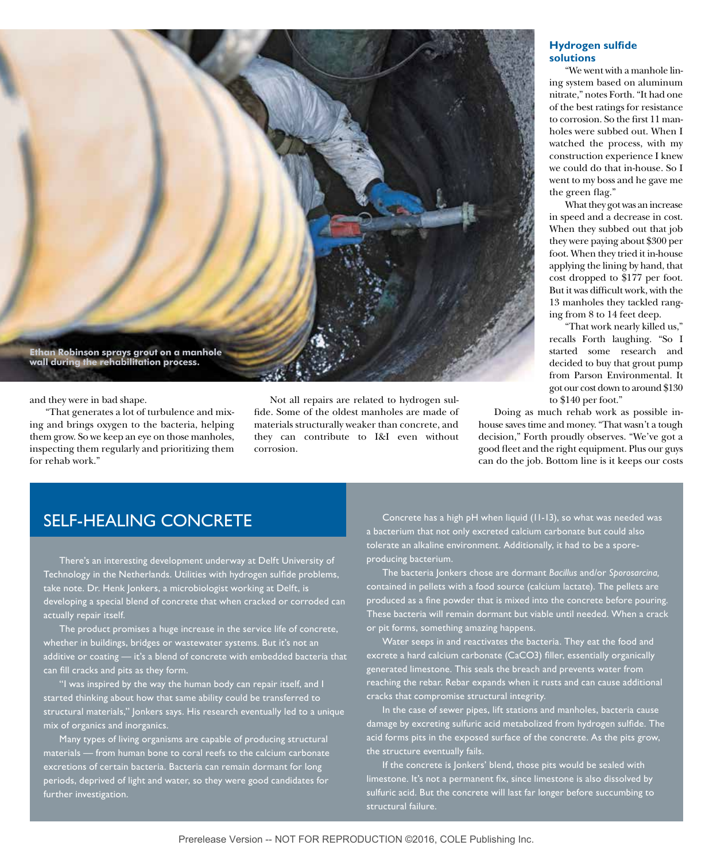

and they were in bad shape.

"That generates a lot of turbulence and mixing and brings oxygen to the bacteria, helping them grow. So we keep an eye on those manholes, inspecting them regularly and prioritizing them for rehab work."

Not all repairs are related to hydrogen sulfide. Some of the oldest manholes are made of materials structurally weaker than concrete, and they can contribute to I&I even without corrosion.

#### **Hydrogen sulfide solutions**

"We went with a manhole lining system based on aluminum nitrate," notes Forth. "It had one of the best ratings for resistance to corrosion. So the first 11 manholes were subbed out. When I watched the process, with my construction experience I knew we could do that in-house. So I went to my boss and he gave me the green flag."

What they got was an increase in speed and a decrease in cost. When they subbed out that job they were paying about \$300 per foot. When they tried it in-house applying the lining by hand, that cost dropped to \$177 per foot. But it was difficult work, with the 13 manholes they tackled ranging from 8 to 14 feet deep.

"That work nearly killed us," recalls Forth laughing. "So I started some research and decided to buy that grout pump from Parson Environmental. It got our cost down to around \$130 to \$140 per foot."

Doing as much rehab work as possible inhouse saves time and money. "That wasn't a tough decision," Forth proudly observes. "We've got a good fleet and the right equipment. Plus our guys can do the job. Bottom line is it keeps our costs

## SELF-HEALING CONCRETE

There's an interesting development underway at Delft University of Technology in the Netherlands. Utilities with hydrogen sulfide problems, take note. Dr. Henk Jonkers, a microbiologist working at Delft, is developing a special blend of concrete that when cracked or corroded can actually repair itself.

The product promises a huge increase in the service life of concrete, whether in buildings, bridges or wastewater systems. But it's not an additive or coating — it's a blend of concrete with embedded bacteria that can fill cracks and pits as they form.

"I was inspired by the way the human body can repair itself, and I started thinking about how that same ability could be transferred to structural materials," Jonkers says. His research eventually led to a unique mix of organics and inorganics.

Many types of living organisms are capable of producing structural materials — from human bone to coral reefs to the calcium carbonate excretions of certain bacteria. Bacteria can remain dormant for long periods, deprived of light and water, so they were good candidates for further investigation.

Concrete has a high pH when liquid (11-13), so what was needed was a bacterium that not only excreted calcium carbonate but could also tolerate an alkaline environment. Additionally, it had to be a sporeproducing bacterium.

The bacteria Jonkers chose are dormant *Bacillus* and/or *Sporosarcina,* contained in pellets with a food source (calcium lactate). The pellets are produced as a fine powder that is mixed into the concrete before pouring. These bacteria will remain dormant but viable until needed. When a crack or pit forms, something amazing happens.

Water seeps in and reactivates the bacteria. They eat the food and excrete a hard calcium carbonate (CaCO3) filler, essentially organically generated limestone. This seals the breach and prevents water from reaching the rebar. Rebar expands when it rusts and can cause additional cracks that compromise structural integrity.

In the case of sewer pipes, lift stations and manholes, bacteria cause damage by excreting sulfuric acid metabolized from hydrogen sulfide. The acid forms pits in the exposed surface of the concrete. As the pits grow, the structure eventually fails.

If the concrete is Jonkers' blend, those pits would be sealed with limestone. It's not a permanent fix, since limestone is also dissolved by sulfuric acid. But the concrete will last far longer before succumbing to structural failure.